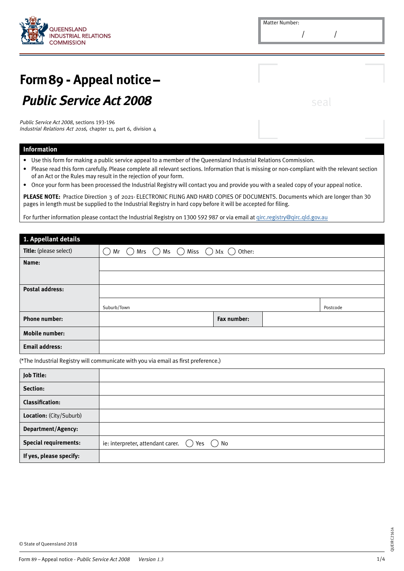

## **Form 89 - Appeal notice –** *Public Service Act 2008*

*Public Service Act 2008,* sections 193-196 Industrial Relations Act 2016, chapter 11, part 6, division 4

## **Information**

- • Use this form for making a public service appeal to a member of the Queensland Industrial Relations Commission.
- • Please read this form carefully. Please complete all relevant sections. Information that is missing or non-compliant with the relevant section of an Act or the Rules may result in the rejection of your form.
- • Once your form has been processed the Industrial Registry will contact you and provide you with a sealed copy of your appeal notice.

PLEASE NOTE: Practice Direction 3 of 2021- ELECTRONIC FILING AND HARD COPIES OF DOCUMENTS. Documents which are longer than 30 pages in length must be supplied to the Industrial Registry in hard copy before it will be accepted for filing.

For further information please contact the Industrial Registry on 1300 592 987 or via email at girc.registry@qirc.qld.gov.au

| 1. Appellant details   |                     |                                          |             |          |
|------------------------|---------------------|------------------------------------------|-------------|----------|
| Title: (please select) | Mrs $\bigcap$<br>Mr | Ms $\bigcap$ Miss $\bigcap$ Mx $\bigcap$ | Other:      |          |
| Name:                  |                     |                                          |             |          |
|                        |                     |                                          |             |          |
| <b>Postal address:</b> |                     |                                          |             |          |
|                        | Suburb/Town         |                                          |             | Postcode |
| <b>Phone number:</b>   |                     |                                          | Fax number: |          |
| <b>Mobile number:</b>  |                     |                                          |             |          |
| <b>Email address:</b>  |                     |                                          |             |          |

(\*The Industrial Registry will communicate with you via email as first preference.)

| Job Title:                   |                                                                   |
|------------------------------|-------------------------------------------------------------------|
| Section:                     |                                                                   |
| <b>Classification:</b>       |                                                                   |
| Location: (City/Suburb)      |                                                                   |
| <b>Department/Agency:</b>    |                                                                   |
| <b>Special requirements:</b> | ie: interpreter, attendant carer. $\bigcirc$<br>Yes $\bigcirc$ No |
| If yes, please specify:      |                                                                   |

QUEIRC21614

QUEIRC21614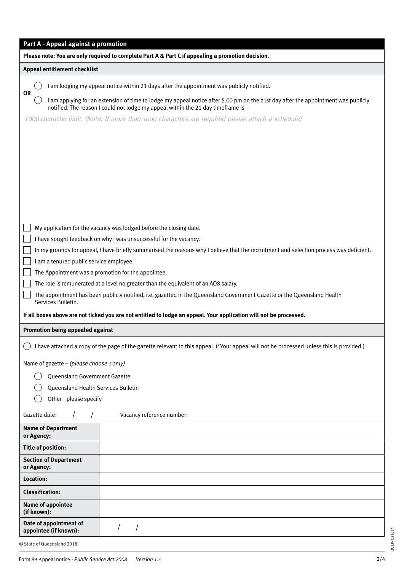| Part A - Appeal against a promotion<br>Please note: You are only required to complete Part A & Part C if appealing a promotion decision.                                                                                            |                                                                                                                                          |  |  |  |
|-------------------------------------------------------------------------------------------------------------------------------------------------------------------------------------------------------------------------------------|------------------------------------------------------------------------------------------------------------------------------------------|--|--|--|
| Appeal entitlement checklist                                                                                                                                                                                                        |                                                                                                                                          |  |  |  |
|                                                                                                                                                                                                                                     | I am lodging my appeal notice within 21 days after the appointment was publicly notified.                                                |  |  |  |
| <b>OR</b><br>I am applying for an extension of time to lodge my appeal notice after 5.00 pm on the 21st day after the appointment was publicly<br>notified. The reason I could not lodge my appeal within the 21 day timeframe is - |                                                                                                                                          |  |  |  |
|                                                                                                                                                                                                                                     | 1000 character limit. (Note: If more than 1000 characters are required please attach a schedule)                                         |  |  |  |
|                                                                                                                                                                                                                                     |                                                                                                                                          |  |  |  |
|                                                                                                                                                                                                                                     |                                                                                                                                          |  |  |  |
|                                                                                                                                                                                                                                     |                                                                                                                                          |  |  |  |
|                                                                                                                                                                                                                                     |                                                                                                                                          |  |  |  |
|                                                                                                                                                                                                                                     |                                                                                                                                          |  |  |  |
|                                                                                                                                                                                                                                     |                                                                                                                                          |  |  |  |
|                                                                                                                                                                                                                                     | My application for the vacancy was lodged before the closing date.                                                                       |  |  |  |
|                                                                                                                                                                                                                                     | I have sought feedback on why I was unsuccessful for the vacancy.                                                                        |  |  |  |
|                                                                                                                                                                                                                                     | In my grounds for appeal, I have briefly summarised the reasons why I believe that the recruitment and selection process was deficient.  |  |  |  |
| I am a tenured public service employee.                                                                                                                                                                                             |                                                                                                                                          |  |  |  |
|                                                                                                                                                                                                                                     | The Appointment was a promotion for the appointee.                                                                                       |  |  |  |
|                                                                                                                                                                                                                                     | The role is remunerated at a level no greater than the equivalent of an AO8 salary.                                                      |  |  |  |
| Services Bulletin.                                                                                                                                                                                                                  | The appointment has been publicly notified, i.e. gazetted in the Queensland Government Gazette or the Queensland Health                  |  |  |  |
|                                                                                                                                                                                                                                     | If all boxes above are not ticked you are not entitled to lodge an appeal. Your application will not be processed.                       |  |  |  |
| Promotion being appealed against                                                                                                                                                                                                    |                                                                                                                                          |  |  |  |
|                                                                                                                                                                                                                                     | I have attached a copy of the page of the gazette relevant to this appeal. (*Your appeal will not be processed unless this is provided.) |  |  |  |
| Name of gazette - (please choose 1 only)                                                                                                                                                                                            |                                                                                                                                          |  |  |  |
| Queensland Government Gazette                                                                                                                                                                                                       |                                                                                                                                          |  |  |  |
| Queensland Health Services Bulletin                                                                                                                                                                                                 |                                                                                                                                          |  |  |  |
| Other-please specify                                                                                                                                                                                                                |                                                                                                                                          |  |  |  |
| Gazette date:                                                                                                                                                                                                                       | Vacancy reference number:                                                                                                                |  |  |  |
| <b>Name of Department</b><br>or Agency:                                                                                                                                                                                             |                                                                                                                                          |  |  |  |
| <b>Title of position:</b>                                                                                                                                                                                                           |                                                                                                                                          |  |  |  |
| <b>Section of Department</b><br>or Agency:                                                                                                                                                                                          |                                                                                                                                          |  |  |  |
| Location:                                                                                                                                                                                                                           |                                                                                                                                          |  |  |  |
| <b>Classification:</b>                                                                                                                                                                                                              |                                                                                                                                          |  |  |  |
| Name of appointee<br>(if known):                                                                                                                                                                                                    |                                                                                                                                          |  |  |  |
| Date of appointment of<br>appointee (if known):                                                                                                                                                                                     |                                                                                                                                          |  |  |  |
| © State of Queensland 2018                                                                                                                                                                                                          |                                                                                                                                          |  |  |  |

QUEIRC21614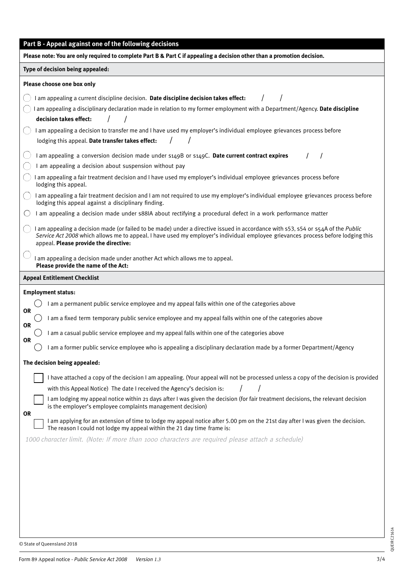| Part B - Appeal against one of the following decisions                                                                                                                                                                                                                                                                                                                                                                                                                                                                                                                                                                                                                                                                                                                                                                                                                                                                                                                                                                                                                                                                                                                                                                                                                                                                                                             |  |  |  |  |
|--------------------------------------------------------------------------------------------------------------------------------------------------------------------------------------------------------------------------------------------------------------------------------------------------------------------------------------------------------------------------------------------------------------------------------------------------------------------------------------------------------------------------------------------------------------------------------------------------------------------------------------------------------------------------------------------------------------------------------------------------------------------------------------------------------------------------------------------------------------------------------------------------------------------------------------------------------------------------------------------------------------------------------------------------------------------------------------------------------------------------------------------------------------------------------------------------------------------------------------------------------------------------------------------------------------------------------------------------------------------|--|--|--|--|
| Please note: You are only required to complete Part B & Part C if appealing a decision other than a promotion decision.                                                                                                                                                                                                                                                                                                                                                                                                                                                                                                                                                                                                                                                                                                                                                                                                                                                                                                                                                                                                                                                                                                                                                                                                                                            |  |  |  |  |
| Type of decision being appealed:                                                                                                                                                                                                                                                                                                                                                                                                                                                                                                                                                                                                                                                                                                                                                                                                                                                                                                                                                                                                                                                                                                                                                                                                                                                                                                                                   |  |  |  |  |
| Please choose one box only                                                                                                                                                                                                                                                                                                                                                                                                                                                                                                                                                                                                                                                                                                                                                                                                                                                                                                                                                                                                                                                                                                                                                                                                                                                                                                                                         |  |  |  |  |
| I am appealing a current discipline decision. Date discipline decision takes effect:<br>I am appealing a disciplinary declaration made in relation to my former employment with a Department/Agency. Date discipline<br>decision takes effect:<br>I am appealing a decision to transfer me and I have used my employer's individual employee grievances process before<br>lodging this appeal. Date transfer takes effect:<br>I am appealing a conversion decision made under s149B or s149C. Date current contract expires<br>I am appealing a decision about suspension without pay<br>I am appealing a fair treatment decision and I have used my employer's individual employee grievances process before<br>lodging this appeal.<br>I am appealing a fair treatment decision and I am not required to use my employer's individual employee grievances process before<br>lodging this appeal against a disciplinary finding.<br>I am appealing a decision made under s88IA about rectifying a procedural defect in a work performance matter<br>I am appealing a decision made (or failed to be made) under a directive issued in accordance with s53, s54 or s54A of the Public<br>Service Act 2008 which allows me to appeal. I have used my employer's individual employee grievances process before lodging this<br>appeal. Please provide the directive: |  |  |  |  |
| I am appealing a decision made under another Act which allows me to appeal.<br>Please provide the name of the Act:                                                                                                                                                                                                                                                                                                                                                                                                                                                                                                                                                                                                                                                                                                                                                                                                                                                                                                                                                                                                                                                                                                                                                                                                                                                 |  |  |  |  |
| <b>Appeal Entitlement Checklist</b>                                                                                                                                                                                                                                                                                                                                                                                                                                                                                                                                                                                                                                                                                                                                                                                                                                                                                                                                                                                                                                                                                                                                                                                                                                                                                                                                |  |  |  |  |
| <b>Employment status:</b><br>I am a permanent public service employee and my appeal falls within one of the categories above<br><b>OR</b><br>I am a fixed term temporary public service employee and my appeal falls within one of the categories above<br><b>OR</b><br>I am a casual public service employee and my appeal falls within one of the categories above<br><b>OR</b><br>I am a former public service employee who is appealing a disciplinary declaration made by a former Department/Agency                                                                                                                                                                                                                                                                                                                                                                                                                                                                                                                                                                                                                                                                                                                                                                                                                                                          |  |  |  |  |
| The decision being appealed:                                                                                                                                                                                                                                                                                                                                                                                                                                                                                                                                                                                                                                                                                                                                                                                                                                                                                                                                                                                                                                                                                                                                                                                                                                                                                                                                       |  |  |  |  |
| I have attached a copy of the decision I am appealing. (Your appeal will not be processed unless a copy of the decision is provided<br>with this Appeal Notice) The date I received the Agency's decision is:<br>I am lodging my appeal notice within 21 days after I was given the decision (for fair treatment decisions, the relevant decision<br>is the employer's employee complaints management decision)<br><b>OR</b><br>I am applying for an extension of time to lodge my appeal notice after 5.00 pm on the 21st day after I was given the decision.<br>The reason I could not lodge my appeal within the 21 day time frame is:<br>1000 character limit. (Note: If more than 1000 characters are required please attach a schedule)                                                                                                                                                                                                                                                                                                                                                                                                                                                                                                                                                                                                                      |  |  |  |  |
|                                                                                                                                                                                                                                                                                                                                                                                                                                                                                                                                                                                                                                                                                                                                                                                                                                                                                                                                                                                                                                                                                                                                                                                                                                                                                                                                                                    |  |  |  |  |

QUEIRC21614

QUEIRC21614